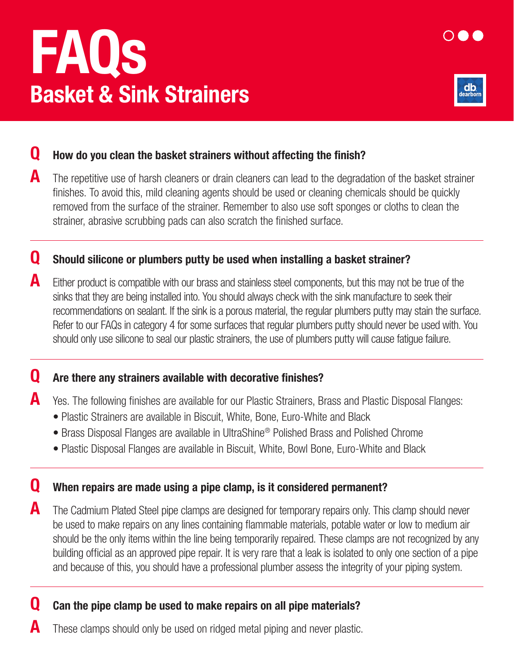# FAQs Basket & Sink Strainers



## **Q** How do you clean the basket strainers without affecting the finish?

A The repetitive use of harsh cleaners or drain cleaners can lead to the degradation of the basket strainer finishes. To avoid this, mild cleaning agents should be used or cleaning chemicals should be quickly removed from the surface of the strainer. Remember to also use soft sponges or cloths to clean the strainer, abrasive scrubbing pads can also scratch the finished surface.

## **Q** Should silicone or plumbers putty be used when installing a basket strainer?

 $\blacktriangle$  Either product is compatible with our brass and stainless steel components, but this may not be true of the sinks that they are being installed into. You should always check with the sink manufacture to seek their recommendations on sealant. If the sink is a porous material, the regular plumbers putty may stain the surface. Refer to our FAQs in category 4 for some surfaces that regular plumbers putty should never be used with. You should only use silicone to seal our plastic strainers, the use of plumbers putty will cause fatigue failure.

#### **Q** Are there any strainers available with decorative finishes?

- A Yes. The following finishes are available for our Plastic Strainers, Brass and Plastic Disposal Flanges:
	- Plastic Strainers are available in Biscuit, White, Bone, Euro-White and Black
	- Brass Disposal Flanges are available in UltraShine® Polished Brass and Polished Chrome
	- Plastic Disposal Flanges are available in Biscuit, White, Bowl Bone, Euro-White and Black

## **Q** When repairs are made using a pipe clamp, is it considered permanent?

**A** The Cadmium Plated Steel pipe clamps are designed for temporary repairs only. This clamp should never be used to make repairs on any lines containing flammable materials, potable water or low to medium air should be the only items within the line being temporarily repaired. These clamps are not recognized by any building official as an approved pipe repair. It is very rare that a leak is isolated to only one section of a pipe and because of this, you should have a professional plumber assess the integrity of your piping system.

# **Q** Can the pipe clamp be used to make repairs on all pipe materials?

These clamps should only be used on ridged metal piping and never plastic.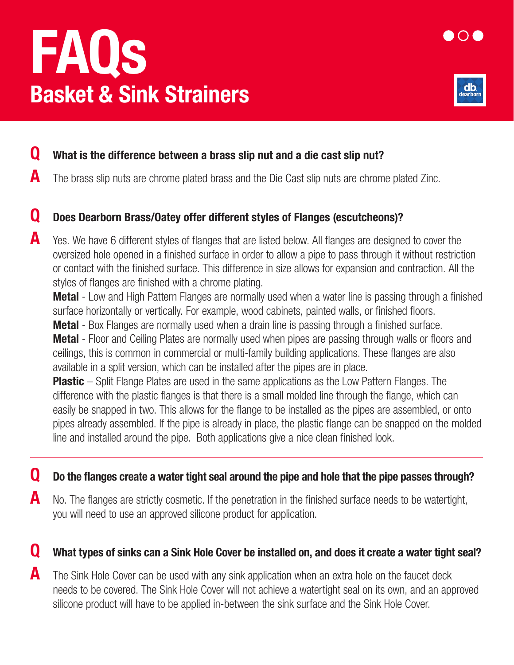# FAQs Basket & Sink Strainers



### **Q** What is the difference between a brass slip nut and a die cast slip nut?

 $\blacksquare$  The brass slip nuts are chrome plated brass and the Die Cast slip nuts are chrome plated Zinc.

#### Q Does Dearborn Brass/Oatey offer different styles of Flanges (escutcheons)?

A Yes. We have 6 different styles of flanges that are listed below. All flanges are designed to cover the oversized hole opened in a finished surface in order to allow a pipe to pass through it without restriction or contact with the finished surface. This difference in size allows for expansion and contraction. All the styles of flanges are finished with a chrome plating.

**Metal** - Low and High Pattern Flanges are normally used when a water line is passing through a finished surface horizontally or vertically. For example, wood cabinets, painted walls, or finished floors.

**Metal** - Box Flanges are normally used when a drain line is passing through a finished surface. **Metal** - Floor and Ceiling Plates are normally used when pipes are passing through walls or floors and ceilings, this is common in commercial or multi-family building applications. These flanges are also available in a split version, which can be installed after the pipes are in place.

**Plastic** – Split Flange Plates are used in the same applications as the Low Pattern Flanges. The difference with the plastic flanges is that there is a small molded line through the flange, which can easily be snapped in two. This allows for the flange to be installed as the pipes are assembled, or onto pipes already assembled. If the pipe is already in place, the plastic flange can be snapped on the molded line and installed around the pipe. Both applications give a nice clean finished look.

#### Q Do the flanges create a water tight seal around the pipe and hole that the pipe passes through?

 $\blacksquare$  No. The flanges are strictly cosmetic. If the penetration in the finished surface needs to be watertight, you will need to use an approved silicone product for application.

### Q What types of sinks can a Sink Hole Cover be installed on, and does it create a water tight seal?

 $\blacksquare$  The Sink Hole Cover can be used with any sink application when an extra hole on the faucet deck needs to be covered. The Sink Hole Cover will not achieve a watertight seal on its own, and an approved silicone product will have to be applied in-between the sink surface and the Sink Hole Cover.